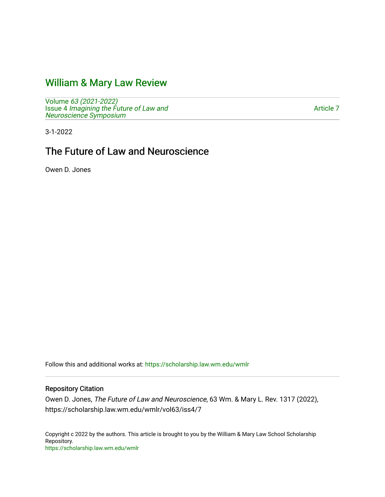# [William & Mary Law Review](https://scholarship.law.wm.edu/wmlr)

Volume [63 \(2021-2022\)](https://scholarship.law.wm.edu/wmlr/vol63)  Issue 4 [Imagining the Future of Law and](https://scholarship.law.wm.edu/wmlr/vol63/iss4)  [Neuroscience Symposium](https://scholarship.law.wm.edu/wmlr/vol63/iss4) 

[Article 7](https://scholarship.law.wm.edu/wmlr/vol63/iss4/7) 

3-1-2022

# The Future of Law and Neuroscience

Owen D. Jones

Follow this and additional works at: [https://scholarship.law.wm.edu/wmlr](https://scholarship.law.wm.edu/wmlr?utm_source=scholarship.law.wm.edu%2Fwmlr%2Fvol63%2Fiss4%2F7&utm_medium=PDF&utm_campaign=PDFCoverPages)

## Repository Citation

Owen D. Jones, The Future of Law and Neuroscience, 63 Wm. & Mary L. Rev. 1317 (2022), https://scholarship.law.wm.edu/wmlr/vol63/iss4/7

Copyright c 2022 by the authors. This article is brought to you by the William & Mary Law School Scholarship Repository. <https://scholarship.law.wm.edu/wmlr>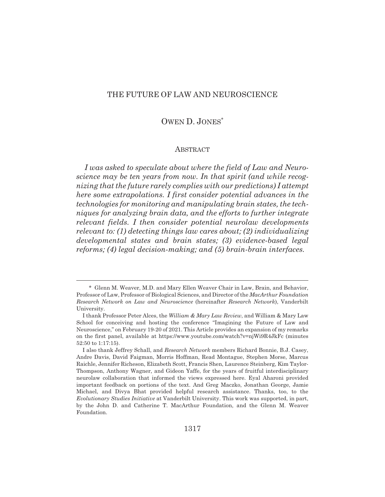## THE FUTURE OF LAW AND NEUROSCIENCE

# OWEN D. JONES\*

#### **ABSTRACT**

*I was asked to speculate about where the field of Law and Neuroscience may be ten years from now. In that spirit (and while recognizing that the future rarely complies with our predictions) I attempt here some extrapolations. I first consider potential advances in the technologies for monitoring and manipulating brain states, the techniques for analyzing brain data, and the efforts to further integrate relevant fields. I then consider potential neurolaw developments relevant to: (1) detecting things law cares about; (2) individualizing developmental states and brain states; (3) evidence-based legal reforms; (4) legal decision-making; and (5) brain-brain interfaces.*

<sup>\*</sup> Glenn M. Weaver, M.D. and Mary Ellen Weaver Chair in Law, Brain, and Behavior, Professor of Law, Professor of Biological Sciences, and Director of the *MacArthur Foundation Research Network on Law and Neuroscience* (hereinafter *Research Network*), Vanderbilt University.

I thank Professor Peter Alces, the *William & Mary Law Review*, and William & Mary Law School for conceiving and hosting the conference "Imagining the Future of Law and Neuroscience," on February 19-20 of 2021. This Article provides an expansion of my remarks on the first panel, available at https://www.youtube.com/watch?v=njWi9R4JkFc (minutes 52:50 to 1:17:15).

I also thank Jeffrey Schall, and *Research Network* members Richard Bonnie, B.J. Casey, Andre Davis, David Faigman, Morris Hoffman, Read Montague, Stephen Morse, Marcus Raichle, Jennifer Richeson, Elizabeth Scott, Francis Shen, Laurence Steinberg, Kim Taylor-Thompson, Anthony Wagner, and Gideon Yaffe, for the years of fruitful interdisciplinary neurolaw collaboration that informed the views expressed here. Eyal Aharoni provided important feedback on portions of the text. And Greg Maczko, Jonathan George, Jamie Michael, and Divya Bhat provided helpful research assistance. Thanks, too, to the *Evolutionary Studies Initiative* at Vanderbilt University. This work was supported, in part, by the John D. and Catherine T. MacArthur Foundation, and the Glenn M. Weaver Foundation.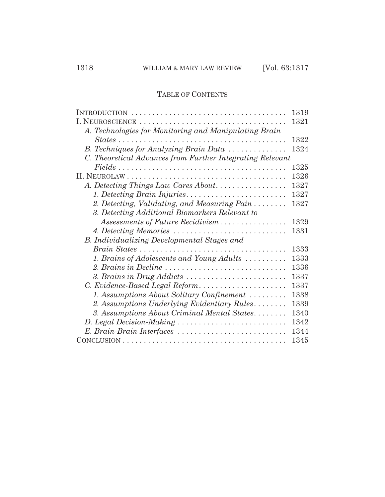# TABLE OF CONTENTS

|                                                                                              | 1319 |
|----------------------------------------------------------------------------------------------|------|
|                                                                                              | 1321 |
| A. Technologies for Monitoring and Manipulating Brain                                        |      |
| $States \ldots \ldots \ldots \ldots \ldots \ldots \ldots \ldots \ldots \ldots \ldots \ldots$ | 1322 |
| B. Techniques for Analyzing Brain Data                                                       | 1324 |
| C. Theoretical Advances from Further Integrating Relevant                                    |      |
|                                                                                              | 1325 |
|                                                                                              | 1326 |
| A. Detecting Things Law Cares About                                                          | 1327 |
|                                                                                              | 1327 |
| 2. Detecting, Validating, and Measuring Pain                                                 | 1327 |
| 3. Detecting Additional Biomarkers Relevant to                                               |      |
| Assessments of Future Recidivism                                                             | 1329 |
| 4. Detecting Memories                                                                        | 1331 |
| B. Individualizing Developmental Stages and                                                  |      |
|                                                                                              | 1333 |
| 1. Brains of Adolescents and Young Adults                                                    | 1333 |
| 2. Brains in Decline                                                                         | 1336 |
| 3. Brains in Drug Addicts                                                                    | 1337 |
| C. Evidence-Based Legal Reform                                                               | 1337 |
| 1. Assumptions About Solitary Confinement                                                    | 1338 |
| 2. Assumptions Underlying Evidentiary Rules                                                  | 1339 |
| 3. Assumptions About Criminal Mental States                                                  | 1340 |
| D. Legal Decision-Making                                                                     | 1342 |
| E. Brain-Brain Interfaces                                                                    | 1344 |
|                                                                                              | 1345 |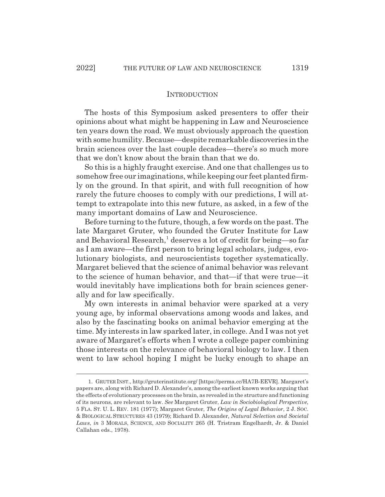#### INTRODUCTION

The hosts of this Symposium asked presenters to offer their opinions about what might be happening in Law and Neuroscience ten years down the road. We must obviously approach the question with some humility. Because—despite remarkable discoveries in the brain sciences over the last couple decades—there's so much more that we don't know about the brain than that we do.

So this is a highly fraught exercise. And one that challenges us to somehow free our imaginations, while keeping our feet planted firmly on the ground. In that spirit, and with full recognition of how rarely the future chooses to comply with our predictions, I will attempt to extrapolate into this new future, as asked, in a few of the many important domains of Law and Neuroscience.

Before turning to the future, though, a few words on the past. The late Margaret Gruter, who founded the Gruter Institute for Law and Behavioral Research,<sup>1</sup> deserves a lot of credit for being—so far as I am aware—the first person to bring legal scholars, judges, evolutionary biologists, and neuroscientists together systematically. Margaret believed that the science of animal behavior was relevant to the science of human behavior, and that—if that were true—it would inevitably have implications both for brain sciences generally and for law specifically.

My own interests in animal behavior were sparked at a very young age, by informal observations among woods and lakes, and also by the fascinating books on animal behavior emerging at the time. My interests in law sparked later, in college. And I was not yet aware of Margaret's efforts when I wrote a college paper combining those interests on the relevance of behavioral biology to law. I then went to law school hoping I might be lucky enough to shape an

<sup>1.</sup> GRUTER INST., http://gruterinstitute.org/ [https://perma.cc/HA7B-EEVR]. Margaret's papers are, along with Richard D. Alexander's, among the earliest known works arguing that the effects of evolutionary processes on the brain, as revealed in the structure and functioning of its neurons, are relevant to law. *See* Margaret Gruter, *Law in Sociobiological Perspective*, 5 FLA. ST. U. L. REV. 181 (1977); Margaret Gruter, *The Origins of Legal Behavior*, 2 J. SOC. & BIOLOGICAL STRUCTURES 43 (1979); Richard D. Alexander*, Natural Selection and Societal Laws*, *in* 3 MORALS, SCIENCE, AND SOCIALITY 265 (H. Tristram Engelhardt, Jr. & Daniel Callahan eds., 1978).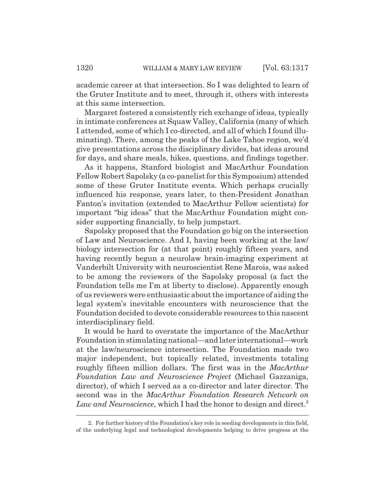academic career at that intersection. So I was delighted to learn of the Gruter Institute and to meet, through it, others with interests at this same intersection.

Margaret fostered a consistently rich exchange of ideas, typically in intimate conferences at Squaw Valley, California (many of which I attended, some of which I co-directed, and all of which I found illuminating). There, among the peaks of the Lake Tahoe region, we'd give presentations across the disciplinary divides, bat ideas around for days, and share meals, hikes, questions, and findings together.

As it happens, Stanford biologist and MacArthur Foundation Fellow Robert Sapolsky (a co-panelist for this Symposium) attended some of these Gruter Institute events. Which perhaps crucially influenced his response, years later, to then-President Jonathan Fanton's invitation (extended to MacArthur Fellow scientists) for important "big ideas" that the MacArthur Foundation might consider supporting financially, to help jumpstart.

Sapolsky proposed that the Foundation go big on the intersection of Law and Neuroscience. And I, having been working at the law/ biology intersection for (at that point) roughly fifteen years, and having recently begun a neurolaw brain-imaging experiment at Vanderbilt University with neuroscientist Rene Marois, was asked to be among the reviewers of the Sapolsky proposal (a fact the Foundation tells me I'm at liberty to disclose). Apparently enough of us reviewers were enthusiastic about the importance of aiding the legal system's inevitable encounters with neuroscience that the Foundation decided to devote considerable resources to this nascent interdisciplinary field.

It would be hard to overstate the importance of the MacArthur Foundation in stimulating national—and later international—work at the law/neuroscience intersection. The Foundation made two major independent, but topically related, investments totaling roughly fifteen million dollars. The first was in the *MacArthur Foundation Law and Neuroscience Project* (Michael Gazzaniga, director), of which I served as a co-director and later director. The second was in the *MacArthur Foundation Research Network on* Law and Neuroscience, which I had the honor to design and direct.<sup>2</sup>

<sup>2.</sup> For further history of the Foundation's key role in seeding developments in this field, of the underlying legal and technological developments helping to drive progress at the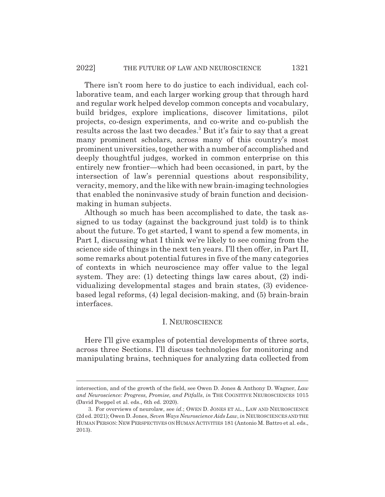There isn't room here to do justice to each individual, each collaborative team, and each larger working group that through hard and regular work helped develop common concepts and vocabulary, build bridges, explore implications, discover limitations, pilot projects, co-design experiments, and co-write and co-publish the results across the last two decades. $^3$  But it's fair to say that a great many prominent scholars, across many of this country's most prominent universities, together with a number of accomplished and deeply thoughtful judges, worked in common enterprise on this entirely new frontier—which had been occasioned, in part, by the intersection of law's perennial questions about responsibility, veracity, memory, and the like with new brain-imaging technologies that enabled the noninvasive study of brain function and decisionmaking in human subjects.

Although so much has been accomplished to date, the task assigned to us today (against the background just told) is to think about the future. To get started, I want to spend a few moments, in Part I, discussing what I think we're likely to see coming from the science side of things in the next ten years. I'll then offer, in Part II, some remarks about potential futures in five of the many categories of contexts in which neuroscience may offer value to the legal system. They are: (1) detecting things law cares about, (2) individualizing developmental stages and brain states, (3) evidencebased legal reforms, (4) legal decision-making, and (5) brain-brain interfaces.

#### I. NEUROSCIENCE

Here I'll give examples of potential developments of three sorts, across three Sections. I'll discuss technologies for monitoring and manipulating brains, techniques for analyzing data collected from

intersection, and of the growth of the field, see Owen D. Jones & Anthony D. Wagner, *Law and Neuroscience: Progress, Promise, and Pitfalls*, *in* THE COGNITIVE NEUROSCIENCES 1015 (David Poeppel et al. eds., 6th ed. 2020).

<sup>3.</sup> For overviews of neurolaw, see *id.*; OWEN D. JONES ET AL., LAW AND NEUROSCIENCE (2d ed. 2021); Owen D. Jones, *Seven Ways Neuroscience Aids Law*, *in* NEUROSCIENCES AND THE HUMAN PERSON: NEW PERSPECTIVES ON HUMAN ACTIVITIES 181 (Antonio M. Battro et al. eds., 2013).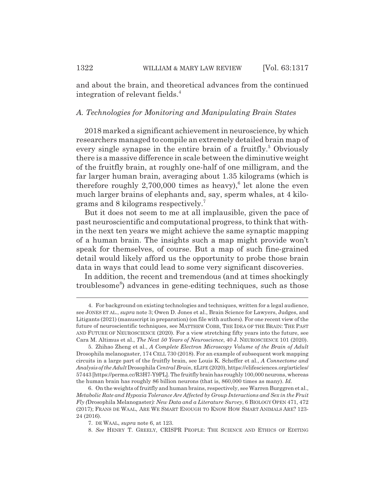and about the brain, and theoretical advances from the continued integration of relevant fields.<sup>4</sup>

#### *A. Technologies for Monitoring and Manipulating Brain States*

2018 marked a significant achievement in neuroscience, by which researchers managed to compile an extremely detailed brain map of every single synapse in the entire brain of a fruitfly.<sup>5</sup> Obviously there is a massive difference in scale between the diminutive weight of the fruitfly brain, at roughly one-half of one milligram, and the far larger human brain, averaging about 1.35 kilograms (which is therefore roughly  $2,700,000$  times as heavy),<sup>6</sup> let alone the even much larger brains of elephants and, say, sperm whales, at 4 kilograms and 8 kilograms respectively.7

But it does not seem to me at all implausible, given the pace of past neuroscientific and computational progress, to think that within the next ten years we might achieve the same synaptic mapping of a human brain. The insights such a map might provide won't speak for themselves, of course. But a map of such fine-grained detail would likely afford us the opportunity to probe those brain data in ways that could lead to some very significant discoveries.

In addition, the recent and tremendous (and at times shockingly troublesome<sup>8</sup>) advances in gene-editing techniques, such as those

<sup>4.</sup> For background on existing technologies and techniques, written for a legal audience, see JONES ET AL., *supra* note 3; Owen D. Jones et al., Brain Science for Lawyers, Judges, and Litigants (2021) (manuscript in preparation) (on file with authors). For one recent view of the future of neuroscientific techniques, see MATTHEW COBB, THE IDEA OF THE BRAIN: THE PAST AND FUTURE OF NEUROSCIENCE (2020). For a view stretching fifty years into the future, see Cara M. Altimus et al., *The Next 50 Years of Neuroscience*, 40 J. NEUROSCIENCE 101 (2020).

<sup>5.</sup> Zhihao Zheng et al., *A Complete Electron Microscopy Volume of the Brain of Adult* Drosophila melanogaster, 174 CELL 730 (2018). For an example of subsequent work mapping circuits in a large part of the fruitfly brain, see Louis K. Scheffer et al., *A Connectome and Analysis of the Adult* Drosophila *Central Brain*, ELIFE (2020), https://elifesciences.org/articles/ 57443 [https://perma.cc/R3H7-Y9PL]. The fruitfly brain has roughly 100,000 neurons, whereas the human brain has roughly 86 billion neurons (that is, 860,000 times as many). *Id.*

<sup>6.</sup> On the weights of fruitfly and human brains, respectively, see Warren Burggren et al., *Metabolic Rate and Hypoxia Tolerance Are Affected by Group Interactions and Sex in the Fruit Fly (*Drosophila Melanogaster*): New Data and a Literature Survey*, 6 BIOLOGY OPEN 471, 472 (2017); FRANS DE WAAL, ARE WE SMART ENOUGH TO KNOW HOW SMART ANIMALS ARE? 123- 24 (2016).

<sup>7.</sup> DE WAAL, *supra* note 6, at 123.

<sup>8.</sup> *See* HENRY T. GREELY, CRISPR PEOPLE: THE SCIENCE AND ETHICS OF EDITING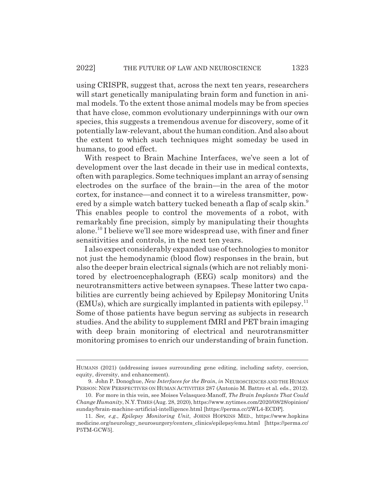using CRISPR, suggest that, across the next ten years, researchers will start genetically manipulating brain form and function in animal models. To the extent those animal models may be from species that have close, common evolutionary underpinnings with our own species, this suggests a tremendous avenue for discovery, some of it potentially law-relevant, about the human condition. And also about the extent to which such techniques might someday be used in humans, to good effect.

With respect to Brain Machine Interfaces, we've seen a lot of development over the last decade in their use in medical contexts, often with paraplegics. Some techniques implant an array of sensing electrodes on the surface of the brain—in the area of the motor cortex, for instance—and connect it to a wireless transmitter, powered by a simple watch battery tucked beneath a flap of scalp skin.<sup>9</sup> This enables people to control the movements of a robot, with remarkably fine precision, simply by manipulating their thoughts alone.10 I believe we'll see more widespread use, with finer and finer sensitivities and controls, in the next ten years.

I also expect considerably expanded use of technologies to monitor not just the hemodynamic (blood flow) responses in the brain, but also the deeper brain electrical signals (which are not reliably monitored by electroencephalograph (EEG) scalp monitors) and the neurotransmitters active between synapses. These latter two capabilities are currently being achieved by Epilepsy Monitoring Units  $(EMUs)$ , which are surgically implanted in patients with epilepsy.<sup>11</sup> Some of those patients have begun serving as subjects in research studies. And the ability to supplement fMRI and PET brain imaging with deep brain monitoring of electrical and neurotransmitter monitoring promises to enrich our understanding of brain function.

HUMANS (2021) (addressing issues surrounding gene editing, including safety, coercion, equity, diversity, and enhancement).

<sup>9.</sup> John P. Donoghue, *New Interfaces for the Brain*, *in* NEUROSCIENCES AND THE HUMAN PERSON: NEW PERSPECTIVES ON HUMAN ACTIVITIES 287 (Antonio M. Battro et al. eds., 2012).

<sup>10.</sup> For more in this vein, see Moises Velasquez-Manoff, *The Brain Implants That Could Change Humanity*, N.Y.TIMES (Aug. 28, 2020), https://www.nytimes.com/2020/08/28/opinion/ sunday/brain-machine-artificial-intelligence.html [https://perma.cc/2WL4-ECDP].

<sup>11.</sup> *See, e.g.*, *Epilepsy Monitoring Unit*, JOHNS HOPKINS MED., https://www.hopkins medicine.org/neurology\_neurosurgery/centers\_clinics/epilepsy/emu.html [https://perma.cc/ P5TM-GCW5].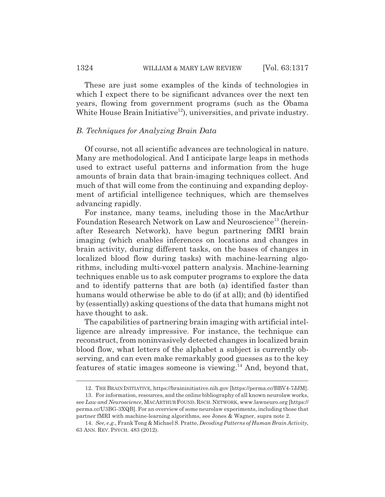These are just some examples of the kinds of technologies in which I expect there to be significant advances over the next ten years, flowing from government programs (such as the Obama White House Brain Initiative<sup>12</sup>), universities, and private industry.

#### *B. Techniques for Analyzing Brain Data*

Of course, not all scientific advances are technological in nature. Many are methodological. And I anticipate large leaps in methods used to extract useful patterns and information from the huge amounts of brain data that brain-imaging techniques collect. And much of that will come from the continuing and expanding deployment of artificial intelligence techniques, which are themselves advancing rapidly.

For instance, many teams, including those in the MacArthur Foundation Research Network on Law and Neuroscience<sup>13</sup> (hereinafter Research Network), have begun partnering fMRI brain imaging (which enables inferences on locations and changes in brain activity, during different tasks, on the bases of changes in localized blood flow during tasks) with machine-learning algorithms, including multi-voxel pattern analysis. Machine-learning techniques enable us to ask computer programs to explore the data and to identify patterns that are both (a) identified faster than humans would otherwise be able to do (if at all); and (b) identified by (essentially) asking questions of the data that humans might not have thought to ask.

The capabilities of partnering brain imaging with artificial intelligence are already impressive. For instance, the technique can reconstruct, from noninvasively detected changes in localized brain blood flow, what letters of the alphabet a subject is currently observing, and can even make remarkably good guesses as to the key features of static images someone is viewing.<sup>14</sup> And, beyond that,

<sup>12.</sup> THE BRAIN INITIATIVE, https://braininitiative.nih.gov [https://perma.cc/BBV4-7JJM].

<sup>13.</sup> For information, resources, and the online bibliography of all known neurolaw works, see *Law and Neuroscience*, MACARTHUR FOUND.RSCH.NETWORK, www.lawneuro.org [https:// perma.cc/U3BG-3XQB]. For an overview of some neurolaw experiments, including those that partner fMRI with machine-learning algorithms, see Jones & Wagner, supra note 2.

<sup>14.</sup> *See, e.g.*, Frank Tong & Michael S. Pratte, *Decoding Patterns of Human Brain Activity*, 63 ANN. REV. PSYCH. 483 (2012).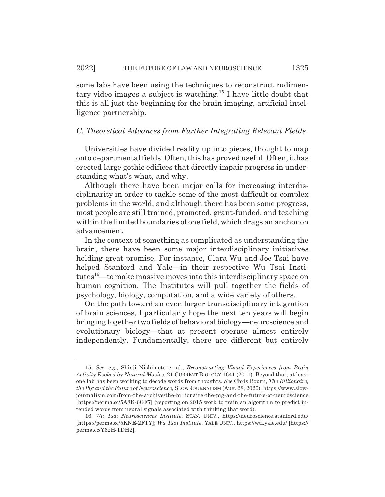some labs have been using the techniques to reconstruct rudimentary video images a subject is watching.<sup>15</sup> I have little doubt that this is all just the beginning for the brain imaging, artificial intelligence partnership.

#### *C. Theoretical Advances from Further Integrating Relevant Fields*

Universities have divided reality up into pieces, thought to map onto departmental fields. Often, this has proved useful. Often, it has erected large gothic edifices that directly impair progress in understanding what's what, and why.

Although there have been major calls for increasing interdisciplinarity in order to tackle some of the most difficult or complex problems in the world, and although there has been some progress, most people are still trained, promoted, grant-funded, and teaching within the limited boundaries of one field, which drags an anchor on advancement.

In the context of something as complicated as understanding the brain, there have been some major interdisciplinary initiatives holding great promise. For instance, Clara Wu and Joe Tsai have helped Stanford and Yale—in their respective Wu Tsai Institutes<sup>16</sup>—to make massive moves into this interdisciplinary space on human cognition. The Institutes will pull together the fields of psychology, biology, computation, and a wide variety of others.

On the path toward an even larger transdisciplinary integration of brain sciences, I particularly hope the next ten years will begin bringing together two fields of behavioral biology—neuroscience and evolutionary biology—that at present operate almost entirely independently. Fundamentally, there are different but entirely

<sup>15.</sup> *See, e.g.*, Shinji Nishimoto et al., *Reconstructing Visual Experiences from Brain Activity Evoked by Natural Movies*, 21 CURRENT BIOLOGY 1641 (2011). Beyond that, at least one lab has been working to decode words from thoughts. *See* Chris Bourn, *The Billionaire, the Pig and the Future of Neuroscience*, SLOW JOURNALISM (Aug. 28, 2020), https://www.slowjournalism.com/from-the-archive/the-billionaire-the-pig-and-the-future-of-neuroscience [https://perma.cc/5A8K-6GF7] (reporting on 2015 work to train an algorithm to predict intended words from neural signals associated with thinking that word).

<sup>16.</sup> *Wu Tsai Neurosciences Institute*, STAN. UNIV., https://neuroscience.stanford.edu/ [https://perma.cc/5KNE-2FTY]; *Wu Tsai Institute*, YALE UNIV., https://wti.yale.edu/ [https:// perma.cc/Y62H-TDH2].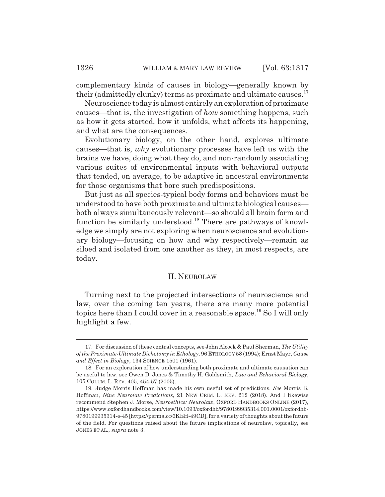complementary kinds of causes in biology—generally known by their (admittedly clunky) terms as proximate and ultimate causes.<sup>17</sup>

Neuroscience today is almost entirely an exploration of proximate causes—that is, the investigation of *how* something happens, such as how it gets started, how it unfolds, what affects its happening, and what are the consequences.

Evolutionary biology, on the other hand, explores ultimate causes—that is, *why* evolutionary processes have left us with the brains we have, doing what they do, and non-randomly associating various suites of environmental inputs with behavioral outputs that tended, on average, to be adaptive in ancestral environments for those organisms that bore such predispositions.

But just as all species-typical body forms and behaviors must be understood to have both proximate and ultimate biological causes both always simultaneously relevant—so should all brain form and function be similarly understood.<sup>18</sup> There are pathways of knowledge we simply are not exploring when neuroscience and evolutionary biology—focusing on how and why respectively—remain as siloed and isolated from one another as they, in most respects, are today.

#### II. NEUROLAW

Turning next to the projected intersections of neuroscience and law, over the coming ten years, there are many more potential topics here than I could cover in a reasonable space.<sup>19</sup> So I will only highlight a few.

<sup>17.</sup> For discussion of these central concepts, see John Alcock & Paul Sherman, *The Utility of the Proximate-Ultimate Dichotomy in Ethology*, 96 ETHOLOGY 58 (1994); Ernst Mayr, *Cause and Effect in Biology*, 134 SCIENCE 1501 (1961).

<sup>18.</sup> For an exploration of how understanding both proximate and ultimate causation can be useful to law, see Owen D. Jones & Timothy H. Goldsmith, *Law and Behavioral Biology*, 105 COLUM. L. REV. 405, 454-57 (2005).

<sup>19.</sup> Judge Morris Hoffman has made his own useful set of predictions. *See* Morris B. Hoffman, *Nine Neurolaw Predictions*, 21 NEW CRIM. L. REV. 212 (2018). And I likewise recommend Stephen J. Morse, *Neuroethics: Neurolaw*, OXFORD HANDBOOKS ONLINE (2017), https://www.oxfordhandbooks.com/view/10.1093/oxfordhb/9780199935314.001.0001/oxfordhb-9780199935314-e-45 [https://perma.cc/6KEH-49CD], for a variety of thoughts about the future of the field. For questions raised about the future implications of neurolaw, topically, see JONES ET AL., *supra* note 3.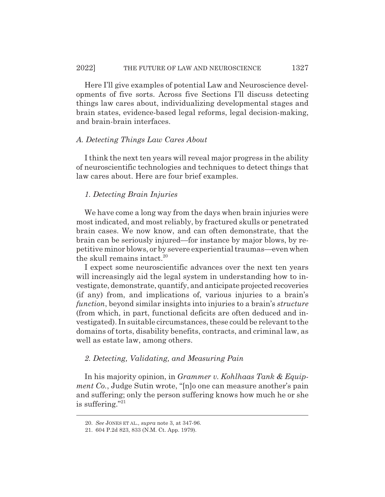Here I'll give examples of potential Law and Neuroscience developments of five sorts. Across five Sections I'll discuss detecting things law cares about, individualizing developmental stages and brain states, evidence-based legal reforms, legal decision-making, and brain-brain interfaces.

#### *A. Detecting Things Law Cares About*

I think the next ten years will reveal major progress in the ability of neuroscientific technologies and techniques to detect things that law cares about. Here are four brief examples.

### *1. Detecting Brain Injuries*

We have come a long way from the days when brain injuries were most indicated, and most reliably, by fractured skulls or penetrated brain cases. We now know, and can often demonstrate, that the brain can be seriously injured—for instance by major blows, by repetitive minor blows, or by severe experiential traumas—even when the skull remains intact.<sup>20</sup>

I expect some neuroscientific advances over the next ten years will increasingly aid the legal system in understanding how to investigate, demonstrate, quantify, and anticipate projected recoveries (if any) from, and implications of, various injuries to a brain's *function*, beyond similar insights into injuries to a brain's *structure* (from which, in part, functional deficits are often deduced and investigated). In suitable circumstances, these could be relevant to the domains of torts, disability benefits, contracts, and criminal law, as well as estate law, among others.

#### *2. Detecting, Validating, and Measuring Pain*

In his majority opinion, in *Grammer v. Kohlhaas Tank & Equipment Co.*, Judge Sutin wrote, "[n]o one can measure another's pain and suffering; only the person suffering knows how much he or she is suffering."21

<sup>20.</sup> *See* JONES ET AL., *supra* note 3, at 347-96.

<sup>21. 604</sup> P.2d 823, 833 (N.M. Ct. App. 1979).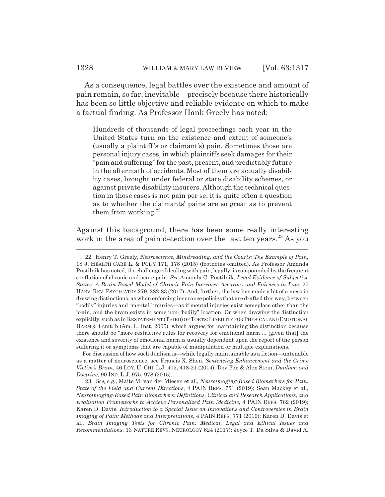As a consequence, legal battles over the existence and amount of pain remain, so far, inevitable—precisely because there historically has been so little objective and reliable evidence on which to make a factual finding. As Professor Hank Greely has noted:

Hundreds of thousands of legal proceedings each year in the United States turn on the existence and extent of someone's (usually a plaintiff 's or claimant's) pain. Sometimes those are personal injury cases, in which plaintiffs seek damages for their "pain and suffering" for the past, present, and predictably future in the aftermath of accidents. Most of them are actually disability cases, brought under federal or state disability schemes, or against private disability insurers. Although the technical question in those cases is not pain per se, it is quite often a question as to whether the claimants' pains are so great as to prevent them from working. $22$ 

Against this background, there has been some really interesting work in the area of pain detection over the last ten years.<sup>23</sup> As you

For discussion of how such dualism is—while legally maintainable as a fiction—untenable as a matter of neuroscience, see Francis X. Shen, *Sentencing Enhancement and the Crime Victim's Brain*, 46 LOY. U. CHI. L.J. 405, 418-21 (2014); Dov Fox & Alex Stein, *Dualism and Doctrine*, 90 IND. L.J. 975, 978 (2015).

<sup>22.</sup> Henry T. Greely, *Neuroscience, Mindreading, and the Courts: The Example of Pain*, 18 J. HEALTH CARE L. & POL'Y 171, 178 (2015) (footnotes omitted). As Professor Amanda Pustilnik has noted, the challenge of dealing with pain, legally, is compounded by the frequent conflation of chronic and acute pain. *See* Amanda C. Pustilnik, *Legal Evidence of Subjective States: A Brain-Based Model of Chronic Pain Increases Accuracy and Fairness in Law*, 25 HARV. REV. PSYCHIATRY 279, 282-83 (2017). And, further, the law has made a bit of a mess in drawing distinctions, as when enforcing insurance policies that are drafted this way, between "bodily" injuries and "mental" injuries—as if mental injuries exist someplace other than the brain, and the brain exists in some non-"bodily" location. Or when drawing the distinction explicitly, such as in RESTATEMENT (THIRD) OF TORTS:LIABILITY FOR PHYSICAL AND EMOTIONAL HARM § 4 cmt. b (Am. L. Inst. 2005), which argues for maintaining the distinction because there should be "more restrictive rules for recovery for emotional harm ... [given that] the existence and severity of emotional harm is usually dependent upon the report of the person suffering it or symptoms that are capable of manipulation or multiple explanations."

<sup>23.</sup> *See, e.g.*, Maite M. van der Miesen et al., *Neuroimaging-Based Biomarkers for Pain: State of the Field and Current Directions*, 4 PAIN REPS. 751 (2019); Sean Mackey et al., *Neuroimaging-Based Pain Biomarkers: Definitions, Clinical and Research Applications, and Evaluation Frameworks to Achieve Personalized Pain Medicine*, 4 PAIN REPS. 762 (2019); Karen D. Davis, *Introduction to a Special Issue on Innovations and Controversies in Brain Imaging of Pain: Methods and Interpretations*, 4 PAIN REPS. 771 (2019); Karen D. Davis et al., *Brain Imaging Tests for Chronic Pain: Medical, Legal and Ethical Issues and Recommendations*, 13 NATURE REVS. NEUROLOGY 624 (2017); Joyce T. Da Silva & David A.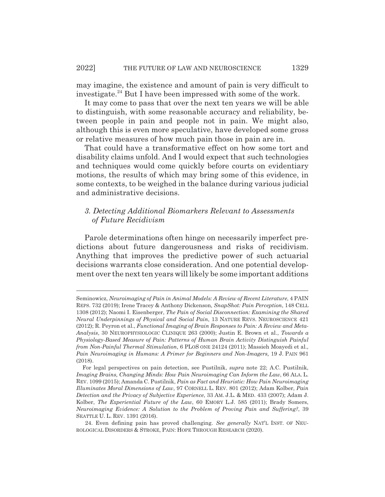may imagine, the existence and amount of pain is very difficult to investigate.<sup>24</sup> But I have been impressed with some of the work.

It may come to pass that over the next ten years we will be able to distinguish, with some reasonable accuracy and reliability, between people in pain and people not in pain. We might also, although this is even more speculative, have developed some gross or relative measures of how much pain those in pain are in.

That could have a transformative effect on how some tort and disability claims unfold. And I would expect that such technologies and techniques would come quickly before courts on evidentiary motions, the results of which may bring some of this evidence, in some contexts, to be weighed in the balance during various judicial and administrative decisions.

# *3. Detecting Additional Biomarkers Relevant to Assessments of Future Recidivism*

Parole determinations often hinge on necessarily imperfect predictions about future dangerousness and risks of recidivism. Anything that improves the predictive power of such actuarial decisions warrants close consideration. And one potential development over the next ten years will likely be some important additions

Seminowicz, *Neuroimaging of Pain in Animal Models: A Review of Recent Literature*, 4 PAIN REPS. 732 (2019); Irene Tracey & Anthony Dickenson, *SnapShot: Pain Perception*, 148 CELL 1308 (2012); Naomi I. Eisenberger, *The Pain of Social Disconnection: Examining the Shared Neural Underpinnings of Physical and Social Pain*, 13 NATURE REVS. NEUROSCIENCE 421 (2012); R. Peyron et al., *Functional Imaging of Brain Responses to Pain: A Review and Meta-Analysis*, 30 NEUROPHYSIOLOGIC CLINIQUE 263 (2000); Justin E. Brown et al., *Towards a Physiology-Based Measure of Pain: Patterns of Human Brain Activity Distinguish Painful from Non-Painful Thermal Stimulation*, 6 PLOS ONE 24124 (2011); Massieh Moayedi et al., *Pain Neuroimaging in Humans: A Primer for Beginners and Non-Imagers,* 19 J. PAIN 961 (2018).

For legal perspectives on pain detection, see Pustilnik, *supra* note 22; A.C. Pustilnik, *Imaging Brains, Changing Minds: How Pain Neuroimaging Can Inform the Law*, 66 ALA. L. REV. 1099 (2015); Amanda C. Pustilnik, *Pain as Fact and Heuristic: How Pain Neuroimaging Illuminates Moral Dimensions of Law*, 97 CORNELL L. REV. 801 (2012); Adam Kolber, *Pain Detection and the Privacy of Subjective Experience*, 33 AM. J.L. & MED. 433 (2007); Adam J. Kolber, *The Experiential Future of the Law*, 60 EMORY L.J. 585 (2011); Brady Somers, *Neuroimaging Evidence: A Solution to the Problem of Proving Pain and Suffering?*, 39 SEATTLE U. L. REV. 1391 (2016).

<sup>24.</sup> Even defining pain has proved challenging. *See generally* NAT'L INST. OF NEU-ROLOGICAL DISORDERS & STROKE, PAIN: HOPE THROUGH RESEARCH (2020).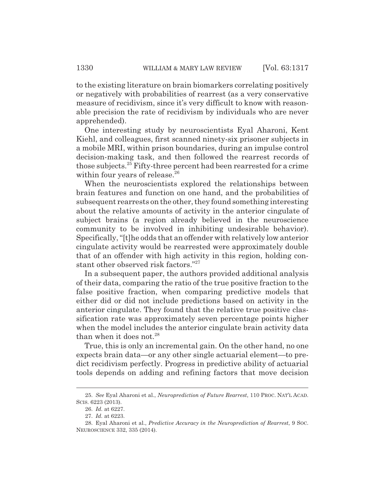to the existing literature on brain biomarkers correlating positively or negatively with probabilities of rearrest (as a very conservative measure of recidivism, since it's very difficult to know with reasonable precision the rate of recidivism by individuals who are never apprehended).

One interesting study by neuroscientists Eyal Aharoni, Kent Kiehl, and colleagues, first scanned ninety-six prisoner subjects in a mobile MRI, within prison boundaries, during an impulse control decision-making task, and then followed the rearrest records of those subjects.<sup>25</sup> Fifty-three percent had been rearrested for a crime within four years of release.<sup>26</sup>

When the neuroscientists explored the relationships between brain features and function on one hand, and the probabilities of subsequent rearrests on the other, they found something interesting about the relative amounts of activity in the anterior cingulate of subject brains (a region already believed in the neuroscience community to be involved in inhibiting undesirable behavior). Specifically, "[t]he odds that an offender with relatively low anterior cingulate activity would be rearrested were approximately double that of an offender with high activity in this region, holding constant other observed risk factors."27

In a subsequent paper, the authors provided additional analysis of their data, comparing the ratio of the true positive fraction to the false positive fraction, when comparing predictive models that either did or did not include predictions based on activity in the anterior cingulate. They found that the relative true positive classification rate was approximately seven percentage points higher when the model includes the anterior cingulate brain activity data than when it does not.<sup>28</sup>

True, this is only an incremental gain. On the other hand, no one expects brain data—or any other single actuarial element—to predict recidivism perfectly. Progress in predictive ability of actuarial tools depends on adding and refining factors that move decision

<sup>25.</sup> *See* Eyal Aharoni et al., *Neuroprediction of Future Rearrest*, 110 PROC. NAT'L ACAD. SCIS. 6223 (2013).

<sup>26.</sup> *Id.* at 6227.

<sup>27.</sup> *Id.* at 6223.

<sup>28.</sup> Eyal Aharoni et al., *Predictive Accuracy in the Neuroprediction of Rearrest*, 9 SOC. NEUROSCIENCE 332, 335 (2014).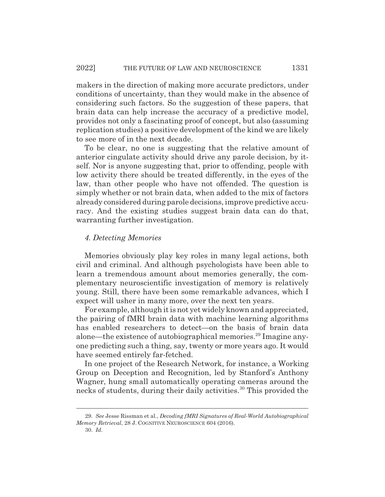makers in the direction of making more accurate predictors, under conditions of uncertainty, than they would make in the absence of considering such factors. So the suggestion of these papers, that brain data can help increase the accuracy of a predictive model, provides not only a fascinating proof of concept, but also (assuming replication studies) a positive development of the kind we are likely to see more of in the next decade.

To be clear, no one is suggesting that the relative amount of anterior cingulate activity should drive any parole decision, by itself. Nor is anyone suggesting that, prior to offending, people with low activity there should be treated differently, in the eyes of the law, than other people who have not offended. The question is simply whether or not brain data, when added to the mix of factors already considered during parole decisions, improve predictive accuracy. And the existing studies suggest brain data can do that, warranting further investigation.

#### *4. Detecting Memories*

Memories obviously play key roles in many legal actions, both civil and criminal. And although psychologists have been able to learn a tremendous amount about memories generally, the complementary neuroscientific investigation of memory is relatively young. Still, there have been some remarkable advances, which I expect will usher in many more, over the next ten years.

For example, although it is not yet widely known and appreciated, the pairing of fMRI brain data with machine learning algorithms has enabled researchers to detect—on the basis of brain data alone—the existence of autobiographical memories.29 Imagine anyone predicting such a thing, say, twenty or more years ago. It would have seemed entirely far-fetched.

In one project of the Research Network, for instance, a Working Group on Deception and Recognition, led by Stanford's Anthony Wagner, hung small automatically operating cameras around the necks of students, during their daily activities.<sup>30</sup> This provided the

<sup>29.</sup> *See* Jesse Rissman et al., *Decoding fMRI Signatures of Real-World Autobiographical Memory Retrieval*, 28 J. COGNITIVE NEUROSCIENCE 604 (2016).

<sup>30.</sup> *Id.*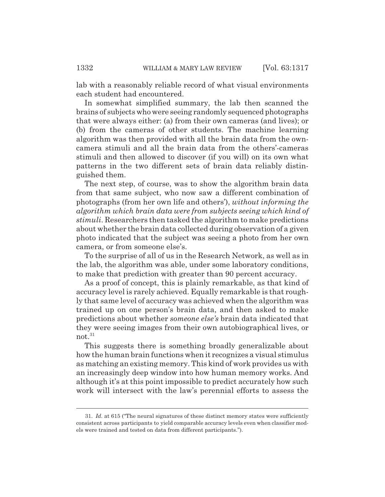lab with a reasonably reliable record of what visual environments each student had encountered.

In somewhat simplified summary, the lab then scanned the brains of subjects who were seeing randomly sequenced photographs that were always either: (a) from their own cameras (and lives); or (b) from the cameras of other students. The machine learning algorithm was then provided with all the brain data from the owncamera stimuli and all the brain data from the others'-cameras stimuli and then allowed to discover (if you will) on its own what patterns in the two different sets of brain data reliably distinguished them.

The next step, of course, was to show the algorithm brain data from that same subject, who now saw a different combination of photographs (from her own life and others'), *without informing the algorithm which brain data were from subjects seeing which kind of stimuli*. Researchers then tasked the algorithm to make predictions about whether the brain data collected during observation of a given photo indicated that the subject was seeing a photo from her own camera, or from someone else's.

To the surprise of all of us in the Research Network, as well as in the lab, the algorithm was able, under some laboratory conditions, to make that prediction with greater than 90 percent accuracy.

As a proof of concept, this is plainly remarkable, as that kind of accuracy level is rarely achieved. Equally remarkable is that roughly that same level of accuracy was achieved when the algorithm was trained up on one person's brain data, and then asked to make predictions about whether *someone else's* brain data indicated that they were seeing images from their own autobiographical lives, or not. $31$ 

This suggests there is something broadly generalizable about how the human brain functions when it recognizes a visual stimulus as matching an existing memory. This kind of work provides us with an increasingly deep window into how human memory works. And although it's at this point impossible to predict accurately how such work will intersect with the law's perennial efforts to assess the

<sup>31.</sup> *Id.* at 615 ("The neural signatures of these distinct memory states were sufficiently consistent across participants to yield comparable accuracy levels even when classifier models were trained and tested on data from different participants.").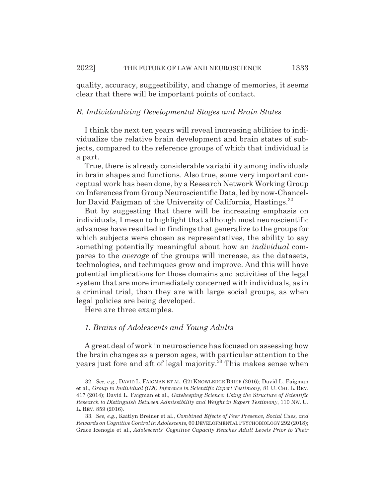quality, accuracy, suggestibility, and change of memories, it seems clear that there will be important points of contact.

#### *B. Individualizing Developmental Stages and Brain States*

I think the next ten years will reveal increasing abilities to individualize the relative brain development and brain states of subjects, compared to the reference groups of which that individual is a part.

True, there is already considerable variability among individuals in brain shapes and functions. Also true, some very important conceptual work has been done, by a Research Network Working Group on Inferences from Group Neuroscientific Data, led by now-Chancellor David Faigman of the University of California, Hastings.<sup>32</sup>

But by suggesting that there will be increasing emphasis on individuals, I mean to highlight that although most neuroscientific advances have resulted in findings that generalize to the groups for which subjects were chosen as representatives, the ability to say something potentially meaningful about how an *individual* compares to the *average* of the groups will increase, as the datasets, technologies, and techniques grow and improve. And this will have potential implications for those domains and activities of the legal system that are more immediately concerned with individuals, as in a criminal trial, than they are with large social groups, as when legal policies are being developed.

Here are three examples.

#### *1. Brains of Adolescents and Young Adults*

A great deal of work in neuroscience has focused on assessing how the brain changes as a person ages, with particular attention to the years just fore and aft of legal majority.<sup>33</sup> This makes sense when

<sup>32.</sup> *See, e.g.*, DAVID L. FAIGMAN ET AL, G2I KNOWLEDGE BRIEF (2016); David L. Faigman et al., *Group to Individual (G2i) Inference in Scientific Expert Testimony*, 81 U. CHI. L. REV. 417 (2014); David L. Faigman et al., *Gatekeeping Science: Using the Structure of Scientific Research to Distinguish Between Admissibility and Weight in Expert Testimony*, 110 NW. U. L. REV. 859 (2016).

<sup>33.</sup> *See, e.g.*, Kaitlyn Breiner et al., *Combined Effects of Peer Presence, Social Cues, and Rewards on Cognitive Control in Adolescents*, 60 DEVELOPMENTAL PSYCHOBIOLOGY 292 (2018); Grace Icenogle et al., *Adolescents' Cognitive Capacity Reaches Adult Levels Prior to Their*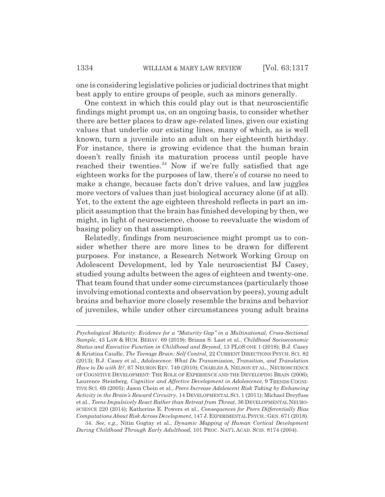one is considering legislative policies or judicial doctrines that might best apply to entire groups of people, such as minors generally.

One context in which this could play out is that neuroscientific findings might prompt us, on an ongoing basis, to consider whether there are better places to draw age-related lines, given our existing values that underlie our existing lines, many of which, as is well known, turn a juvenile into an adult on her eighteenth birthday. For instance, there is growing evidence that the human brain doesn't really finish its maturation process until people have reached their twenties.<sup>34</sup> Now if we're fully satisfied that age eighteen works for the purposes of law, there's of course no need to make a change, because facts don't drive values, and law juggles more vectors of values than just biological accuracy alone (if at all). Yet, to the extent the age eighteen threshold reflects in part an implicit assumption that the brain has finished developing by then, we might, in light of neuroscience, choose to reevaluate the wisdom of basing policy on that assumption.

Relatedly, findings from neuroscience might prompt us to consider whether there are more lines to be drawn for different purposes. For instance, a Research Network Working Group on Adolescent Development, led by Yale neuroscientist BJ Casey, studied young adults between the ages of eighteen and twenty-one. That team found that under some circumstances (particularly those involving emotional contexts and observation by peers), young adult brains and behavior more closely resemble the brains and behavior of juveniles, while under other circumstances young adult brains

*Psychological Maturity: Evidence for a "Maturity Gap" in a Multinational, Cross-Sectional Sample*, 43 LAW & HUM. BEHAV. 69 (2019); Briana S. Last et al., *Childhood Socioeconomic Status and Executive Function in Childhood and Beyond*, 13 PLOS ONE 1 (2018); B.J. Casey & Kristina Caudle, *The Teenage Brain: Self Control*, 22 CURRENT DIRECTIONS PSYCH. SCI. 82 (2013); B.J. Casey et al., *Adolescence: What Do Transmission, Transition, and Translation Have to Do with It?*, 67 NEURON REV. 749 (2010); CHARLES A. NELSON ET AL., NEUROSCIENCE OF COGNITIVE DEVELOPMENT: THE ROLE OF EXPERIENCE AND THE DEVELOPING BRAIN (2006); Laurence Steinberg, *Cognitive and Affective Development in Adolescence*, 9 TRENDS COGNI-TIVE SCI. 69 (2005); Jason Chein et al., *Peers Increase Adolescent Risk Taking by Enhancing Activity in the Brain's Reward Circuitry*, 14 DEVELOPMENTAL SCI. 1 (2011); Michael Dreyfuss et al., *Teens Impulsively React Rather than Retreat from Threat*, 36 DEVELOPMENTAL NEURO-SCIENCE 220 (2014); Katherine E. Powers et al., *Consequences for Peers Differentially Bias Computations About Risk Across Development*, 147 J.EXPERIMENTAL PSYCH.:GEN. 671 (2018).

<sup>34.</sup> *See, e.g.*, Nitin Gogtay et al., *Dynamic Mapping of Human Cortical Development During Childhood Through Early Adulthood*, 101 PROC. NAT'L ACAD. SCIS. 8174 (2004).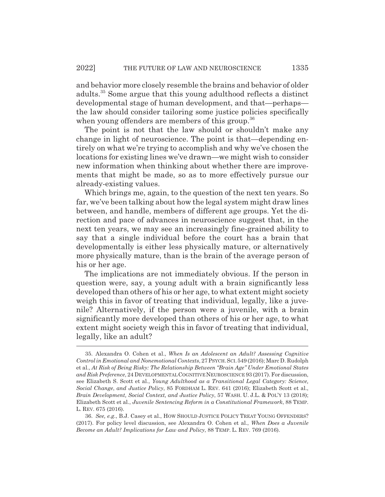and behavior more closely resemble the brains and behavior of older adults.35 Some argue that this young adulthood reflects a distinct developmental stage of human development, and that—perhaps the law should consider tailoring some justice policies specifically when young offenders are members of this group.<sup>36</sup>

The point is not that the law should or shouldn't make any change in light of neuroscience. The point is that—depending entirely on what we're trying to accomplish and why we've chosen the locations for existing lines we've drawn—we might wish to consider new information when thinking about whether there are improvements that might be made, so as to more effectively pursue our already-existing values.

Which brings me, again, to the question of the next ten years. So far, we've been talking about how the legal system might draw lines between, and handle, members of different age groups. Yet the direction and pace of advances in neuroscience suggest that, in the next ten years, we may see an increasingly fine-grained ability to say that a single individual before the court has a brain that developmentally is either less physically mature, or alternatively more physically mature, than is the brain of the average person of his or her age.

The implications are not immediately obvious. If the person in question were, say, a young adult with a brain significantly less developed than others of his or her age, to what extent might society weigh this in favor of treating that individual, legally, like a juvenile? Alternatively, if the person were a juvenile, with a brain significantly more developed than others of his or her age, to what extent might society weigh this in favor of treating that individual, legally, like an adult?

<sup>35.</sup> Alexandra O. Cohen et al., *When Is an Adolescent an Adult? Assessing Cognitive Control in Emotional and Nonemotional Contexts*, 27 PSYCH.SCI.549 (2016); Marc D. Rudolph et al., *At Risk of Being Risky: The Relationship Between "Brain Age" Under Emotional States and Risk Preference*, 24 DEVELOPMENTAL COGNITIVE NEUROSCIENCE 93 (2017). For discussion, see Elizabeth S. Scott et al., *Young Adulthood as a Transitional Legal Category: Science, Social Change*, *and Justice Policy*, 85 FORDHAM L. REV. 641 (2016); Elizabeth Scott et al., *Brain Development, Social Context, and Justice Policy*, 57 WASH. U. J.L. & POL'Y 13 (2018); Elizabeth Scott et al., *Juvenile Sentencing Reform in a Constitutional Framework*, 88 TEMP. L. REV. 675 (2016).

<sup>36.</sup> *See, e.g.*, B.J. Casey et al., HOW SHOULD JUSTICE POLICY TREAT YOUNG OFFENDERS? (2017). For policy level discussion, see Alexandra O. Cohen et al., *When Does a Juvenile Become an Adult? Implications for Law and Policy*, 88 TEMP. L. REV. 769 (2016).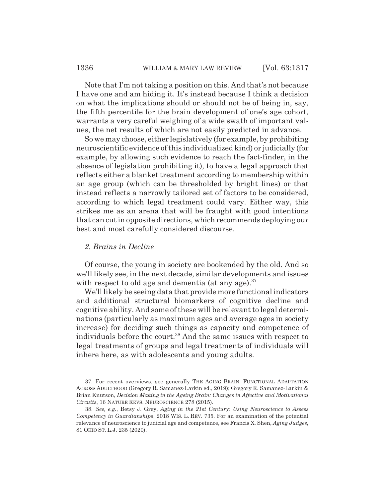Note that I'm not taking a position on this. And that's not because I have one and am hiding it. It's instead because I think a decision on what the implications should or should not be of being in, say, the fifth percentile for the brain development of one's age cohort, warrants a very careful weighing of a wide swath of important values, the net results of which are not easily predicted in advance.

So we may choose, either legislatively (for example, by prohibiting neuroscientific evidence of this individualized kind) or judicially (for example, by allowing such evidence to reach the fact-finder, in the absence of legislation prohibiting it), to have a legal approach that reflects either a blanket treatment according to membership within an age group (which can be thresholded by bright lines) or that instead reflects a narrowly tailored set of factors to be considered, according to which legal treatment could vary. Either way, this strikes me as an arena that will be fraught with good intentions that can cut in opposite directions, which recommends deploying our best and most carefully considered discourse.

#### *2. Brains in Decline*

Of course, the young in society are bookended by the old. And so we'll likely see, in the next decade, similar developments and issues with respect to old age and dementia (at any age). $37$ 

We'll likely be seeing data that provide more functional indicators and additional structural biomarkers of cognitive decline and cognitive ability. And some of these will be relevant to legal determinations (particularly as maximum ages and average ages in society increase) for deciding such things as capacity and competence of individuals before the court.<sup>38</sup> And the same issues with respect to legal treatments of groups and legal treatments of individuals will inhere here, as with adolescents and young adults.

<sup>37.</sup> For recent overviews, see generally THE AGING BRAIN: FUNCTIONAL ADAPTATION ACROSS ADULTHOOD (Gregory R. Samanez-Larkin ed., 2019); Gregory R. Samanez-Larkin & Brian Knutson, *Decision Making in the Ageing Brain: Changes in Affective and Motivational Circuits*, 16 NATURE REVS. NEUROSCIENCE 278 (2015).

<sup>38.</sup> *See, e.g.*, Betsy J. Grey, *Aging in the 21st Century: Using Neuroscience to Assess Competency in Guardianships*, 2018 WIS. L. REV. 735. For an examination of the potential relevance of neuroscience to judicial age and competence, see Francis X. Shen, *Aging Judges*, 81 OHIO ST. L.J. 235 (2020).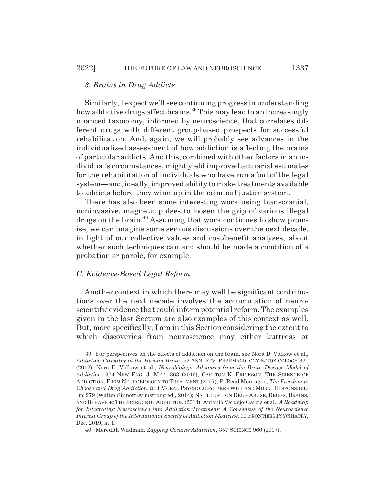#### *3. Brains in Drug Addicts*

Similarly, I expect we'll see continuing progress in understanding how addictive drugs affect brains.<sup>39</sup> This may lead to an increasingly nuanced taxonomy, informed by neuroscience, that correlates different drugs with different group-based prospects for successful rehabilitation. And, again, we will probably see advances in the individualized assessment of how addiction is affecting the brains of particular addicts. And this, combined with other factors in an individual's circumstances, might yield improved actuarial estimates for the rehabilitation of individuals who have run afoul of the legal system—and, ideally, improved ability to make treatments available to addicts before they wind up in the criminal justice system.

There has also been some interesting work using transcranial, noninvasive, magnetic pulses to loosen the grip of various illegal drugs on the brain.40 Assuming that work continues to show promise, we can imagine some serious discussions over the next decade, in light of our collective values and cost/benefit analyses, about whether such techniques can and should be made a condition of a probation or parole, for example.

#### *C. Evidence-Based Legal Reform*

Another context in which there may well be significant contributions over the next decade involves the accumulation of neuroscientific evidence that could inform potential reform. The examples given in the last Section are also examples of this context as well. But, more specifically, I am in this Section considering the extent to which discoveries from neuroscience may either buttress or

<sup>39.</sup> For perspectives on the effects of addiction on the brain, see Nora D. Volkow et al., *Addiction Circuitry in the Human Brain*, 52 ANN. REV. PHARMACOLOGY & TOXICOLOGY 321 (2012); Nora D. Volkow et al.*, Neurobiologic Advances from the Brain Disease Model of Addiction*, 374 NEW ENG. J. MED. 363 (2016); CARLTON K. ERICKSON, THE SCIENCE OF ADDICTION: FROM NEUROBIOLOGY TO TREATMENT (2007); P. Read Montague, *The Freedom to Choose and Drug Addiction*, *in* 4 MORAL PSYCHOLOGY: FREE WILL AND MORAL RESPONSIBIL-ITY 279 (Walter Sinnott-Armstrong ed., 2014); NAT'L INST. ON DRUG ABUSE*,* DRUGS, BRAINS, AND BEHAVIOR: THE SCIENCE OF ADDICTION (2014); Antonio Verdejo-Garcia et al., *A Roadmap for Integrating Neuroscience into Addiction Treatment: A Consensus of the Neuroscience Interest Group of the International Society of Addiction Medicine*, 10 FRONTIERS PSYCHIATRY, Dec. 2019, at 1.

<sup>40.</sup> Meredith Wadman, *Zapping Cocaine Addiction*, 357 SCIENCE 960 (2017).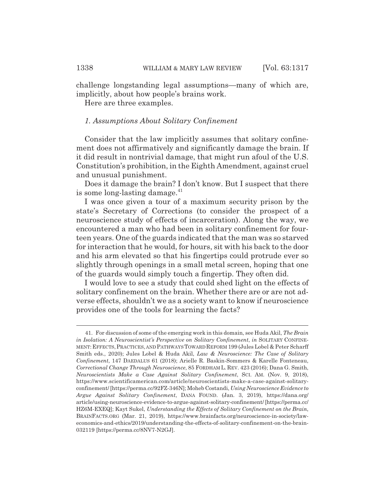challenge longstanding legal assumptions—many of which are, implicitly, about how people's brains work.

Here are three examples.

#### *1. Assumptions About Solitary Confinement*

Consider that the law implicitly assumes that solitary confinement does not affirmatively and significantly damage the brain. If it did result in nontrivial damage, that might run afoul of the U.S. Constitution's prohibition, in the Eighth Amendment, against cruel and unusual punishment.

Does it damage the brain? I don't know. But I suspect that there is some long-lasting damage. $41$ 

I was once given a tour of a maximum security prison by the state's Secretary of Corrections (to consider the prospect of a neuroscience study of effects of incarceration). Along the way, we encountered a man who had been in solitary confinement for fourteen years. One of the guards indicated that the man was so starved for interaction that he would, for hours, sit with his back to the door and his arm elevated so that his fingertips could protrude ever so slightly through openings in a small metal screen, hoping that one of the guards would simply touch a fingertip. They often did.

I would love to see a study that could shed light on the effects of solitary confinement on the brain. Whether there are or are not adverse effects, shouldn't we as a society want to know if neuroscience provides one of the tools for learning the facts?

<sup>41.</sup> For discussion of some of the emerging work in this domain, see Huda Akil, *The Brain in Isolation: A Neuroscientist's Perspective on Solitary Confinement*, *in* SOLITARY CONFINE-MENT:EFFECTS,PRACTICES, AND PATHWAYS TOWARD REFORM 199 (Jules Lobel & Peter Scharff Smith eds., 2020); Jules Lobel & Huda Akil, *Law & Neuroscience: The Case of Solitary Confinement*, 147 DAEDALUS 61 (2018); Arielle R. Baskin-Sommers & Karelle Fonteneau, *Correctional Change Through Neuroscience*, 85 FORDHAM L. REV. 423 (2016); Dana G. Smith, *Neuroscientists Make a Case Against Solitary Confinement*, SCI. AM. (Nov. 9, 2018), https://www.scientificamerican.com/article/neuroscientists-make-a-case-against-solitaryconfinement/ [https://perma.cc/92FZ-346N]; Moheb Costandi, *Using Neuroscience Evidence to Argue Against Solitary Confinement*, DANA FOUND. (Jan. 3, 2019), https://dana.org/ article/using-neuroscience-evidence-to-argue-against-solitary-confinement/ [https://perma.cc/ HZ6M-EXEQ]; Kayt Sukel, *Understanding the Effects of Solitary Confinement on the Brain*, BRAINFACTS.ORG (Mar. 21, 2019), https://www.brainfacts.org/neuroscience-in-society/laweconomics-and-ethics/2019/understanding-the-effects-of-solitary-confinement-on-the-brain-032119 [https://perma.cc/8NV7-N2GJ].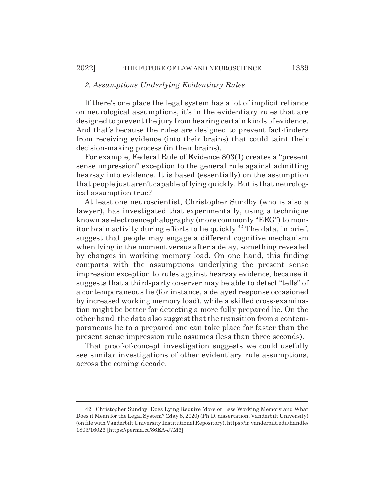#### *2. Assumptions Underlying Evidentiary Rules*

If there's one place the legal system has a lot of implicit reliance on neurological assumptions, it's in the evidentiary rules that are designed to prevent the jury from hearing certain kinds of evidence. And that's because the rules are designed to prevent fact-finders from receiving evidence (into their brains) that could taint their decision-making process (in their brains).

For example, Federal Rule of Evidence 803(1) creates a "present sense impression" exception to the general rule against admitting hearsay into evidence. It is based (essentially) on the assumption that people just aren't capable of lying quickly. But is that neurological assumption true?

At least one neuroscientist, Christopher Sundby (who is also a lawyer), has investigated that experimentally, using a technique known as electroencephalography (more commonly "EEG") to monitor brain activity during efforts to lie quickly.42 The data, in brief, suggest that people may engage a different cognitive mechanism when lying in the moment versus after a delay, something revealed by changes in working memory load. On one hand, this finding comports with the assumptions underlying the present sense impression exception to rules against hearsay evidence, because it suggests that a third-party observer may be able to detect "tells" of a contemporaneous lie (for instance, a delayed response occasioned by increased working memory load), while a skilled cross-examination might be better for detecting a more fully prepared lie. On the other hand, the data also suggest that the transition from a contemporaneous lie to a prepared one can take place far faster than the present sense impression rule assumes (less than three seconds).

That proof-of-concept investigation suggests we could usefully see similar investigations of other evidentiary rule assumptions, across the coming decade.

<sup>42.</sup> Christopher Sundby, Does Lying Require More or Less Working Memory and What Does it Mean for the Legal System? (May 8, 2020) (Ph.D. dissertation, Vanderbilt University) (on file with Vanderbilt University Institutional Repository), https://ir.vanderbilt.edu/handle/ 1803/16026 [https://perma.cc/86EA-J7M6].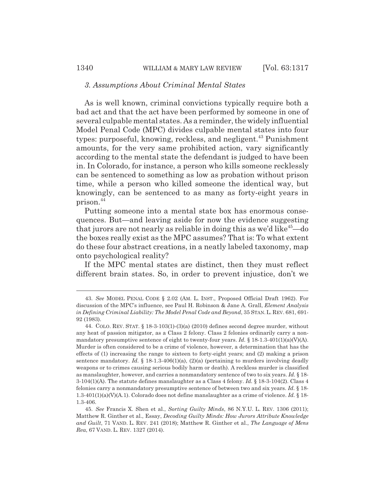#### *3. Assumptions About Criminal Mental States*

As is well known, criminal convictions typically require both a bad act and that the act have been performed by someone in one of several culpable mental states. As a reminder, the widely influential Model Penal Code (MPC) divides culpable mental states into four types: purposeful, knowing, reckless, and negligent.<sup>43</sup> Punishment amounts, for the very same prohibited action, vary significantly according to the mental state the defendant is judged to have been in. In Colorado, for instance, a person who kills someone recklessly can be sentenced to something as low as probation without prison time, while a person who killed someone the identical way, but knowingly, can be sentenced to as many as forty-eight years in prison.44

Putting someone into a mental state box has enormous consequences. But—and leaving aside for now the evidence suggesting that jurors are not nearly as reliable in doing this as we'd like<sup>45</sup>—do the boxes really exist as the MPC assumes? That is: To what extent do these four abstract creations, in a neatly labeled taxonomy, map onto psychological reality?

If the MPC mental states are distinct, then they must reflect different brain states. So, in order to prevent injustice, don't we

<sup>43.</sup> *See* MODEL PENAL CODE § 2.02 (AM. L. INST., Proposed Official Draft 1962). For discussion of the MPC's influence, see Paul H. Robinson & Jane A. Grall, *Element Analysis in Defining Criminal Liability: The Model Penal Code and Beyond*, 35 STAN. L. REV. 681, 691- 92 (1983).

<sup>44.</sup> COLO. REV. STAT. § 18-3-103(1)-(3)(a) (2010) defines second degree murder, without any heat of passion mitigator, as a Class 2 felony. Class 2 felonies ordinarily carry a nonmandatory presumptive sentence of eight to twenty-four years. *Id.* § 18-1.3-401(1)(a)(V)(A). Murder is often considered to be a crime of violence, however, a determination that has the effects of (1) increasing the range to sixteen to forty-eight years; and (2) making a prison sentence mandatory. *Id.*  $\S$  18-1.3-406(1)(a), (2)(a) (pertaining to murders involving deadly weapons or to crimes causing serious bodily harm or death). A reckless murder is classified as manslaughter, however, and carries a nonmandatory sentence of two to six years. *Id.* § 18- 3-104(1)(A). The statute defines manslaughter as a Class 4 felony. *Id.* § 18-3-104(2). Class 4 felonies carry a nonmandatory presumptive sentence of between two and six years. *Id.* § 18- 1.3-401(1)(a)(V)(A.1). Colorado does not define manslaughter as a crime of violence. *Id.* § 18- 1.3-406.

<sup>45.</sup> *See* Francis X. Shen et al., *Sorting Guilty Minds*, 86 N.Y.U. L. REV. 1306 (2011); Matthew R. Ginther et al., Essay, *Decoding Guilty Minds: How Jurors Attribute Knowledge and Guilt*, 71 VAND. L. REV. 241 (2018); Matthew R. Ginther et al., *The Language of Mens Rea*, 67 VAND. L. REV. 1327 (2014).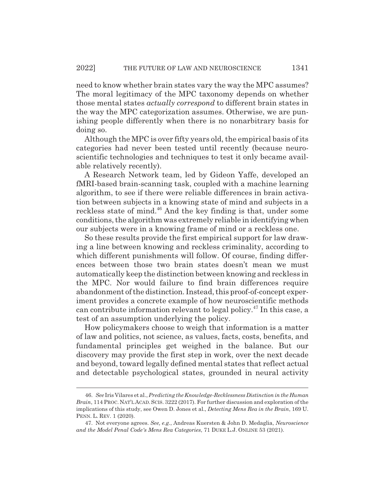need to know whether brain states vary the way the MPC assumes? The moral legitimacy of the MPC taxonomy depends on whether those mental states *actually correspond* to different brain states in the way the MPC categorization assumes. Otherwise, we are punishing people differently when there is no nonarbitrary basis for doing so.

Although the MPC is over fifty years old, the empirical basis of its categories had never been tested until recently (because neuroscientific technologies and techniques to test it only became available relatively recently).

A Research Network team, led by Gideon Yaffe, developed an fMRI-based brain-scanning task, coupled with a machine learning algorithm, to see if there were reliable differences in brain activation between subjects in a knowing state of mind and subjects in a reckless state of mind.<sup>46</sup> And the key finding is that, under some conditions, the algorithm was extremely reliable in identifying when our subjects were in a knowing frame of mind or a reckless one.

So these results provide the first empirical support for law drawing a line between knowing and reckless criminality, according to which different punishments will follow. Of course, finding differences between those two brain states doesn't mean we must automatically keep the distinction between knowing and reckless in the MPC. Nor would failure to find brain differences require abandonment of the distinction. Instead, this proof-of-concept experiment provides a concrete example of how neuroscientific methods can contribute information relevant to legal policy.47 In this case, a test of an assumption underlying the policy.

How policymakers choose to weigh that information is a matter of law and politics, not science, as values, facts, costs, benefits, and fundamental principles get weighed in the balance. But our discovery may provide the first step in work, over the next decade and beyond, toward legally defined mental states that reflect actual and detectable psychological states, grounded in neural activity

<sup>46.</sup> *See* Iris Vilares et al., *Predicting the Knowledge-Recklessness Distinction in the Human Brain*, 114 PROC.NAT'LACAD.SCIS. 3222 (2017). For further discussion and exploration of the implications of this study, see Owen D. Jones et al., *Detecting Mens Rea in the Brain*, 169 U. PENN. L. REV. 1 (2020).

<sup>47.</sup> Not everyone agrees. *See, e.g.*, Andreas Kuersten & John D. Medaglia, *Neuroscience and the Model Penal Code's Mens Rea Categories*, 71 DUKE L.J. ONLINE 53 (2021).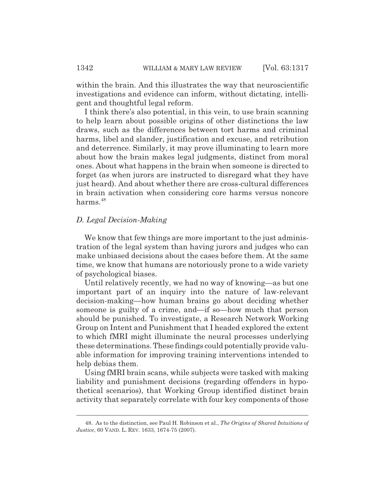within the brain. And this illustrates the way that neuroscientific investigations and evidence can inform, without dictating, intelligent and thoughtful legal reform.

I think there's also potential, in this vein, to use brain scanning to help learn about possible origins of other distinctions the law draws, such as the differences between tort harms and criminal harms, libel and slander, justification and excuse, and retribution and deterrence. Similarly, it may prove illuminating to learn more about how the brain makes legal judgments, distinct from moral ones. About what happens in the brain when someone is directed to forget (as when jurors are instructed to disregard what they have just heard). And about whether there are cross-cultural differences in brain activation when considering core harms versus noncore harms.<sup>48</sup>

#### *D. Legal Decision-Making*

We know that few things are more important to the just administration of the legal system than having jurors and judges who can make unbiased decisions about the cases before them. At the same time, we know that humans are notoriously prone to a wide variety of psychological biases.

Until relatively recently, we had no way of knowing—as but one important part of an inquiry into the nature of law-relevant decision-making—how human brains go about deciding whether someone is guilty of a crime, and—if so—how much that person should be punished. To investigate, a Research Network Working Group on Intent and Punishment that I headed explored the extent to which fMRI might illuminate the neural processes underlying these determinations. These findings could potentially provide valuable information for improving training interventions intended to help debias them.

Using fMRI brain scans, while subjects were tasked with making liability and punishment decisions (regarding offenders in hypothetical scenarios), that Working Group identified distinct brain activity that separately correlate with four key components of those

<sup>48.</sup> As to the distinction, see Paul H. Robinson et al., *The Origins of Shared Intuitions of Justice*, 60 VAND. L. REV. 1633, 1674-75 (2007).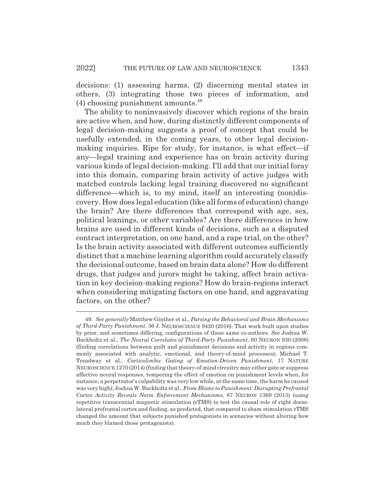decisions: (1) assessing harms, (2) discerning mental states in others, (3) integrating those two pieces of information, and  $(4)$  choosing punishment amounts.<sup>49</sup>

The ability to noninvasively discover which regions of the brain are active when, and how, during distinctly different components of legal decision-making suggests a proof of concept that could be usefully extended, in the coming years, to other legal decisionmaking inquiries. Ripe for study, for instance, is what effect—if any—legal training and experience has on brain activity during various kinds of legal decision-making. I'll add that our initial foray into this domain, comparing brain activity of active judges with matched controls lacking legal training discovered no significant difference—which is, to my mind, itself an interesting (non)discovery. How does legal education (like all forms of education) change the brain? Are there differences that correspond with age, sex, political leanings, or other variables? Are there differences in how brains are used in different kinds of decisions, such as a disputed contract interpretation, on one hand, and a rape trial, on the other? Is the brain activity associated with different outcomes sufficiently distinct that a machine learning algorithm could accurately classify the decisional outcome, based on brain data alone? How do different drugs, that judges and jurors might be taking, affect brain activation in key decision-making regions? How do brain-regions interact when considering mitigating factors on one hand, and aggravating factors, on the other?

<sup>49.</sup> *See generally* Matthew Ginther et al., *Parsing the Behavioral and Brain Mechanisms of Third-Party Punishment*, 36 J. NEUROSCIENCE 9420 (2016). That work built upon studies by prior, and sometimes differing, configurations of these same co-authors. *See* Joshua W. Buckholtz et al., *The Neural Correlates of Third-Party Punishment*, 60 NEURON 930 (2008) (finding correlations between guilt and punishment decisions and activity in regions commonly associated with analytic, emotional, and theory-of-mind processes); Michael T. Treadway et al., *Corticolimbic Gating of Emotion-Driven Punishment*, 17 NATURE NEUROSCIENCE 1270 (2014) (finding that theory-of-mind circuitry may either gate or suppress affective neural responses, tempering the effect of emotion on punishment levels when, for instance, a perpetrator's culpability was very low while, at the same time, the harm he caused was very high); Joshua W. Buckholtz et al., *From Blame to Punishment: Disrupting Prefrontal Cortex Activity Reveals Norm Enforcement Mechanisms*, 87 NEURON 1369 (2015) (using repetitive transcranial magnetic stimulation (rTMS) to test the causal role of right dorsolateral prefrontal cortex and finding, as predicted, that compared to sham stimulation rTMS changed the amount that subjects punished protagonists in scenarios without altering how much they blamed those protagonists).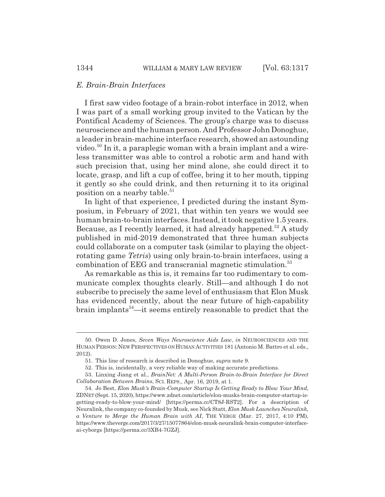#### *E. Brain-Brain Interfaces*

I first saw video footage of a brain-robot interface in 2012, when I was part of a small working group invited to the Vatican by the Pontifical Academy of Sciences. The group's charge was to discuss neuroscience and the human person. And Professor John Donoghue, a leader in brain-machine interface research, showed an astounding video.<sup>50</sup> In it, a paraplegic woman with a brain implant and a wireless transmitter was able to control a robotic arm and hand with such precision that, using her mind alone, she could direct it to locate, grasp, and lift a cup of coffee, bring it to her mouth, tipping it gently so she could drink, and then returning it to its original position on a nearby table.<sup>51</sup>

In light of that experience, I predicted during the instant Symposium, in February of 2021, that within ten years we would see human brain-to-brain interfaces. Instead, it took negative 1.5 years. Because, as I recently learned, it had already happened.<sup>52</sup> A study published in mid-2019 demonstrated that three human subjects could collaborate on a computer task (similar to playing the objectrotating game *Tetris*) using only brain-to-brain interfaces, using a combination of EEG and transcranial magnetic stimulation.<sup>53</sup>

As remarkable as this is, it remains far too rudimentary to communicate complex thoughts clearly. Still—and although I do not subscribe to precisely the same level of enthusiasm that Elon Musk has evidenced recently, about the near future of high-capability brain implants<sup> $54$ </sup>—it seems entirely reasonable to predict that the

<sup>50.</sup> Owen D. Jones, *Seven Ways Neuroscience Aids Law*, *in* NEUROSCIENCES AND THE HUMAN PERSON: NEW PERSPECTIVES ON HUMAN ACTIVITIES 181 (Antonio M. Battro et al. eds., 2012).

<sup>51.</sup> This line of research is described in Donoghue, *supra* note 9.

<sup>52.</sup> This is, incidentally, a very reliable way of making accurate predictions.

<sup>53.</sup> Linxing Jiang et al., *BrainNet: A Multi-Person Brain-to-Brain Interface for Direct Collaboration Between Brains*, SCI. REPS., Apr. 16, 2019, at 1.

<sup>54.</sup> Jo Best, *Elon Musk's Brain-Computer Startup Is Getting Ready to Blow Your Mind*, ZDNET (Sept. 15, 2020), https://www.zdnet.com/article/elon-musks-brain-computer-startup-isgetting-ready-to-blow-your-mind/ [https://perma.cc/CT8J-RST2]. For a description of Neuralink, the company co-founded by Musk, see Nick Statt, *Elon Musk Launches Neuralink, a Venture to Merge the Human Brain with AI*, THE VERGE (Mar. 27, 2017, 4:10 PM), https://www.theverge.com/2017/3/27/15077864/elon-musk-neuralink-brain-computer-interfaceai-cyborgs [https://perma.cc/3XB4-7GZJ].